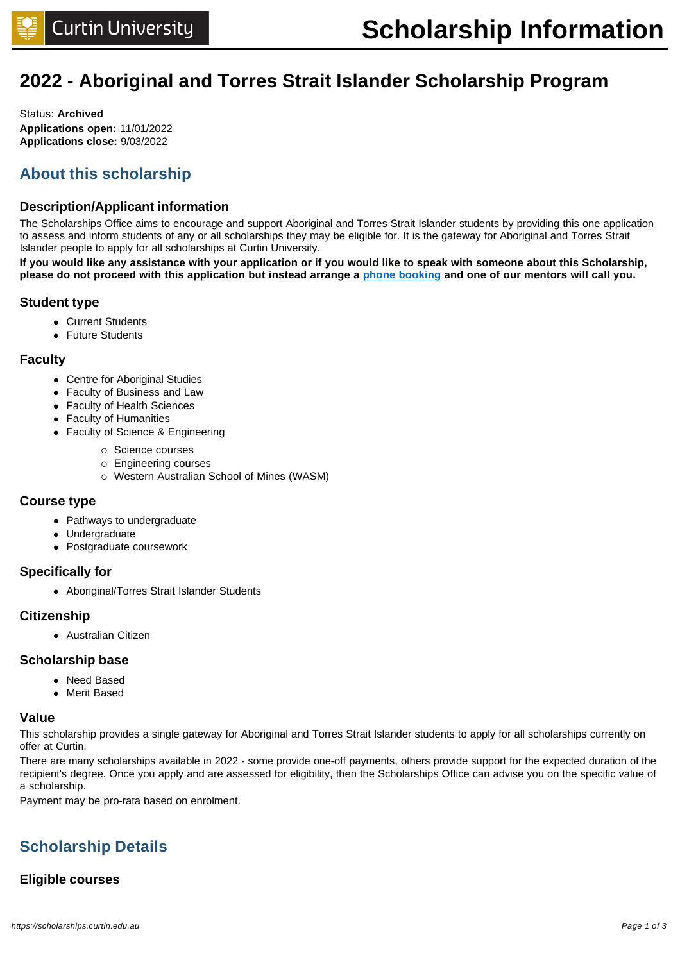# **2022 - Aboriginal and Torres Strait Islander Scholarship Program**

Status: **Archived Applications open:** 11/01/2022 **Applications close:** 9/03/2022

# **About this scholarship**

# **Description/Applicant information**

The Scholarships Office aims to encourage and support Aboriginal and Torres Strait Islander students by providing this one application to assess and inform students of any or all scholarships they may be eligible for. It is the gateway for Aboriginal and Torres Strait Islander people to apply for all scholarships at Curtin University.

**If you would like any assistance with your application or if you would like to speak with someone about this Scholarship, please do not proceed with this application but instead arrange a [phone booking](https://karda.curtin.edu.au/study/support/scholarships-for-aboriginal-and-torres-strait-islander-students/#questions) and one of our mentors will call you.** 

# **Student type**

- Current Students
- **.** Future Students

# **Faculty**

- Centre for Aboriginal Studies
- Faculty of Business and Law
- Faculty of Health Sciences
- Faculty of Humanities
- Faculty of Science & Engineering
	- o Science courses
	- o Engineering courses
	- o Western Australian School of Mines (WASM)

## **Course type**

- Pathways to undergraduate
- Undergraduate
- Postgraduate coursework

# **Specifically for**

• Aboriginal/Torres Strait Islander Students

# **Citizenship**

**.** Australian Citizen

## **Scholarship base**

- Need Based
- Merit Based

## **Value**

This scholarship provides a single gateway for Aboriginal and Torres Strait Islander students to apply for all scholarships currently on offer at Curtin.

There are many scholarships available in 2022 - some provide one-off payments, others provide support for the expected duration of the recipient's degree. Once you apply and are assessed for eligibility, then the Scholarships Office can advise you on the specific value of a scholarship.

Payment may be pro-rata based on enrolment.

# **Scholarship Details**

# **Eligible courses**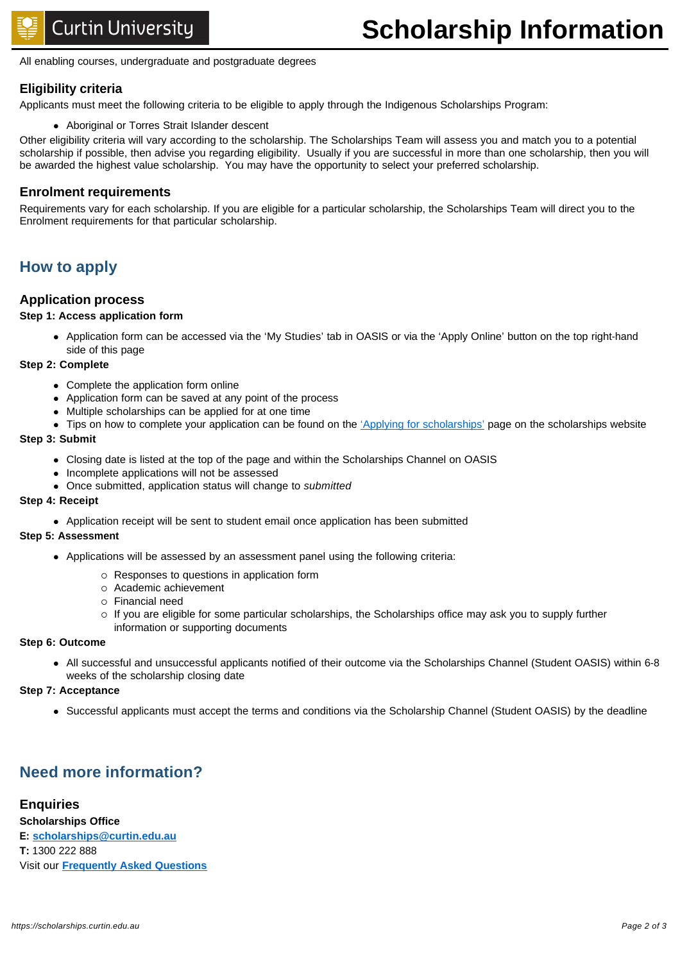All enabling courses, undergraduate and postgraduate degrees

# **Eligibility criteria**

Applicants must meet the following criteria to be eligible to apply through the Indigenous Scholarships Program:

• Aboriginal or Torres Strait Islander descent

Other eligibility criteria will vary according to the scholarship. The Scholarships Team will assess you and match you to a potential scholarship if possible, then advise you regarding eligibility. Usually if you are successful in more than one scholarship, then you will be awarded the highest value scholarship. You may have the opportunity to select your preferred scholarship.

### **Enrolment requirements**

Requirements vary for each scholarship. If you are eligible for a particular scholarship, the Scholarships Team will direct you to the Enrolment requirements for that particular scholarship.

# **How to apply**

## **Application process**

### **Step 1: Access application form**

• Application form can be accessed via the 'My Studies' tab in OASIS or via the 'Apply Online' button on the top right-hand side of this page

### **Step 2: Complete**

- Complete the application form online
- Application form can be saved at any point of the process
- Multiple scholarships can be applied for at one time
- Tips on how to complete your application can be found on the ['Applying for scholarships'](https://scholarships.curtin.edu.au/apply/) page on the scholarships website

### **Step 3: Submit**

- Closing date is listed at the top of the page and within the Scholarships Channel on OASIS
- Incomplete applications will not be assessed
- Once submitted, application status will change to submitted

### **Step 4: Receipt**

• Application receipt will be sent to student email once application has been submitted

### **Step 5: Assessment**

- Applications will be assessed by an assessment panel using the following criteria:
	- $\circ$  Responses to questions in application form
	- o Academic achievement
	- o Financial need
	- $\circ$  If you are eligible for some particular scholarships, the Scholarships office may ask you to supply further information or supporting documents

### **Step 6: Outcome**

<sup>l</sup> All successful and unsuccessful applicants notified of their outcome via the Scholarships Channel (Student OASIS) within 6-8 weeks of the scholarship closing date

### **Step 7: Acceptance**

• Successful applicants must accept the terms and conditions via the Scholarship Channel (Student OASIS) by the deadline

# **Need more information?**

# **Enquiries**

**Scholarships Office E: [scholarships@curtin.edu.au](mailto:scholarships@curtin.edu.au) T:** 1300 222 888 Visit our **[Frequently Asked Questions](https://future.connect.curtin.edu.au/app/answers/list/kw/scholarship)**